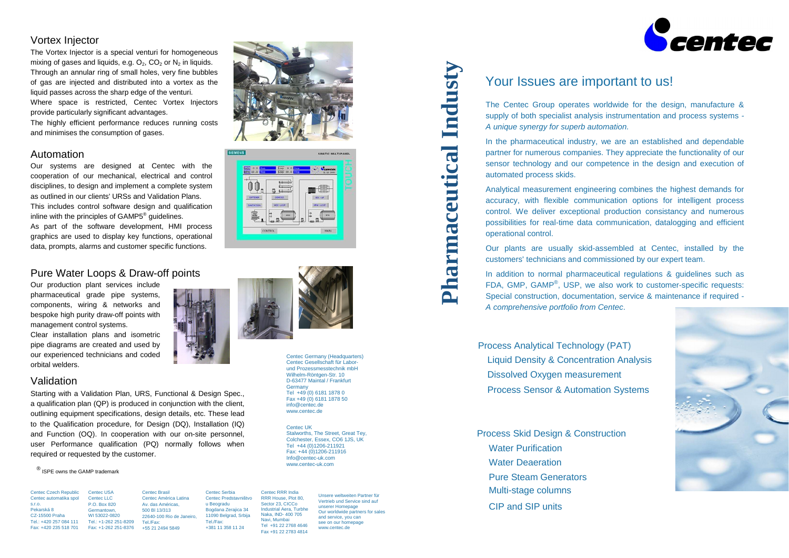#### **PharmaceuticalIndusty**

Centec Czech Republic Centec automatika spol s.r.o. Pekarská 8 CZ-15500 Praha Tel.: +420 257 084 111 Fax: +420 235 518 701 Centec USA Centec LLC P.O. Box 820 Germantown, WI 53022-0820

Tel.: +1-262 251-8209 Fax: +1-262 251-8376 Centec Brasil Centec América Latina Av. das Américas, 500 Bl 13/313 22640-100 Rio de Janeiro, Tel./Fax: +55 21 2494 5849

Centec Serbia Centec Predstavništvo u Beogradu Bogdana Zerajica 34 11090 Belgrad, Srbija Tel./Fax: +381 11 358 11 24

Centec RRR India RRR House, Plot 80, Sector 23, CICCo Industrial Aera, Turbhe Naka, IND- 400 705 Navi, Mumbai Tel +91 22 2768 4646 Fax +91 22 2783 4814

Centec Germany (Headquarters) Centec Gesellschaft für Laborund Prozessmesstechnik mbH Wilhelm-Röntgen-Str. 10 D-63477 Maintal / Frankfurt **Germany** Tel +49 (0) 6181 1878 0 Fax +49 (0) 6181 1878 50 info@centec.de www.centec.de

In addition to normal pharmaceutical regulations & guidelines such as FDA, GMP, GAMP<sup>®</sup>, USP, we also work to customer-specific requests: Special construction, documentation, service & maintenance if required - *A comprehensive portfolio from Centec*.

The Centec Group operates worldwide for the design, manufacture & supply of both specialist analysis instrumentation and process systems *- A unique synergy for superb automation.*

In the pharmaceutical industry, we are an established and dependable partner for numerous companies. They appreciate the functionality of our sensor technology and our competence in the design and execution of automated process skids.

Our systems are designed at Centec with the cooperation of our mechanical, electrical and control disciplines, to design and implement a complete system as outlined in our clients' URSs and Validation Plans. This includes control software design and qualification inline with the principles of GAMP5 $^{\circ}$  guidelines.

Analytical measurement engineering combines the highest demands for accuracy, with flexible communication options for intelligent process control. We deliver exceptional production consistancy and numerous possibilities for real-time data communication, datalogging and efficient operational control.

Our plants are usually skid-assembled at Centec, installed by the customers' technicians and commissioned by our expert team.

# Your Issues are important to us!

Centec UK Stalworths, The Street, Great Tey, Colchester, Essex, CO6 1JS, UK Tel +44 (0)1206-211921 Fax: +44 (0)1206-211916 Info@centec-uk.com www.centec-uk.com



(allege)  $9 - 1$ 

 $00.$ 

 $\sim$  Counter

 $\blacksquare$ 







Unsere weltweiten Partner für Vertrieb und Service sind auf unserer Homepage Our worldwide partners for sales and service, you can see on our homepage www.centec.de

#### Vortex Injector

The Vortex Injector is a special venturi for homogeneous mixing of gases and liquids, e.g.  $O_2$ ,  $CO_2$  or  $N_2$  in liquids. Through an annular ring of small holes, very fine bubbles of gas are injected and distributed into a vortex as the liquid passes across the sharp edge of the venturi. Where space is restricted, Centec Vortex Injectors provide particularly significant advantages.

The highly efficient performance reduces running costs and minimises the consumption of gases.

### Automation

As part of the software development, HMI process graphics are used to display key functions, operational data, prompts, alarms and customer specific functions.

Starting with a Validation Plan, URS, Functional & Design Spec., a qualification plan (QP) is produced in conjunction with the client, outlining equipment specifications, design details, etc. These lead to the Qualification procedure, for Design (DQ), Installation (IQ) and Function (OQ). In cooperation with our on-site personnel, user Performance qualification (PQ) normally follows when required or requested by the customer.

#### <sup>®</sup> ISPE owns the GAMP trademark

### Validation

## Pure Water Loops & Draw-off points

Our production plant services include pharmaceutical grade pipe systems, components, wiring & networks and bespoke high purity draw-off points with management control systems.

Clear installation plans and isometric pipe diagrams are created and used by our experienced technicians and coded orbital welders.

Dissolved Oxygen measurement Liquid Density & Concentration Analysis Process Sensor & Automation Systems Process Analytical Technology (PAT)

Process Skid Design & Construction Water Purification Water Deaeration CIP and SIP units Pure Steam Generators Multi-stage columns